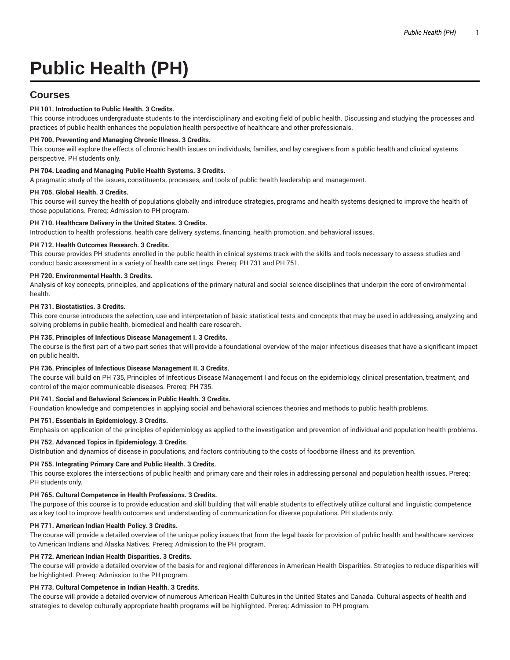# **Public Health (PH)**

# **Courses**

# **PH 101. Introduction to Public Health. 3 Credits.**

This course introduces undergraduate students to the interdisciplinary and exciting field of public health. Discussing and studying the processes and practices of public health enhances the population health perspective of healthcare and other professionals.

# **PH 700. Preventing and Managing Chronic Illness. 3 Credits.**

This course will explore the effects of chronic health issues on individuals, families, and lay caregivers from a public health and clinical systems perspective. PH students only.

# **PH 704. Leading and Managing Public Health Systems. 3 Credits.**

A pragmatic study of the issues, constituents, processes, and tools of public health leadership and management.

#### **PH 705. Global Health. 3 Credits.**

This course will survey the health of populations globally and introduce strategies, programs and health systems designed to improve the health of those populations. Prereq: Admission to PH program.

# **PH 710. Healthcare Delivery in the United States. 3 Credits.**

Introduction to health professions, health care delivery systems, financing, health promotion, and behavioral issues.

#### **PH 712. Health Outcomes Research. 3 Credits.**

This course provides PH students enrolled in the public health in clinical systems track with the skills and tools necessary to assess studies and conduct basic assessment in a variety of health care settings. Prereq: PH 731 and PH 751.

# **PH 720. Environmental Health. 3 Credits.**

Analysis of key concepts, principles, and applications of the primary natural and social science disciplines that underpin the core of environmental health.

# **PH 731. Biostatistics. 3 Credits.**

This core course introduces the selection, use and interpretation of basic statistical tests and concepts that may be used in addressing, analyzing and solving problems in public health, biomedical and health care research.

#### **PH 735. Principles of Infectious Disease Management I. 3 Credits.**

The course is the first part of a two-part series that will provide a foundational overview of the major infectious diseases that have a significant impact on public health.

#### **PH 736. Principles of Infectious Disease Management II. 3 Credits.**

The course will build on PH 735, Principles of Infectious Disease Management I and focus on the epidemiology, clinical presentation, treatment, and control of the major communicable diseases. Prereq: PH 735.

#### **PH 741. Social and Behavioral Sciences in Public Health. 3 Credits.**

Foundation knowledge and competencies in applying social and behavioral sciences theories and methods to public health problems.

# **PH 751. Essentials in Epidemiology. 3 Credits.**

Emphasis on application of the principles of epidemiology as applied to the investigation and prevention of individual and population health problems.

#### **PH 752. Advanced Topics in Epidemiology. 3 Credits.**

Distribution and dynamics of disease in populations, and factors contributing to the costs of foodborne illness and its prevention.

# **PH 755. Integrating Primary Care and Public Health. 3 Credits.**

This course explores the intersections of public health and primary care and their roles in addressing personal and population health issues. Prereq: PH students only.

#### **PH 765. Cultural Competence in Health Professions. 3 Credits.**

The purpose of this course is to provide education and skill building that will enable students to effectively utilize cultural and linguistic competence as a key tool to improve health outcomes and understanding of communication for diverse populations. PH students only.

#### **PH 771. American Indian Health Policy. 3 Credits.**

The course will provide a detailed overview of the unique policy issues that form the legal basis for provision of public health and healthcare services to American Indians and Alaska Natives. Prereq: Admission to the PH program.

#### **PH 772. American Indian Health Disparities. 3 Credits.**

The course will provide a detailed overview of the basis for and regional differences in American Health Disparities. Strategies to reduce disparities will be highlighted. Prereq: Admission to the PH program.

#### **PH 773. Cultural Competence in Indian Health. 3 Credits.**

The course will provide a detailed overview of numerous American Health Cultures in the United States and Canada. Cultural aspects of health and strategies to develop culturally appropriate health programs will be highlighted. Prereq: Admission to PH program.